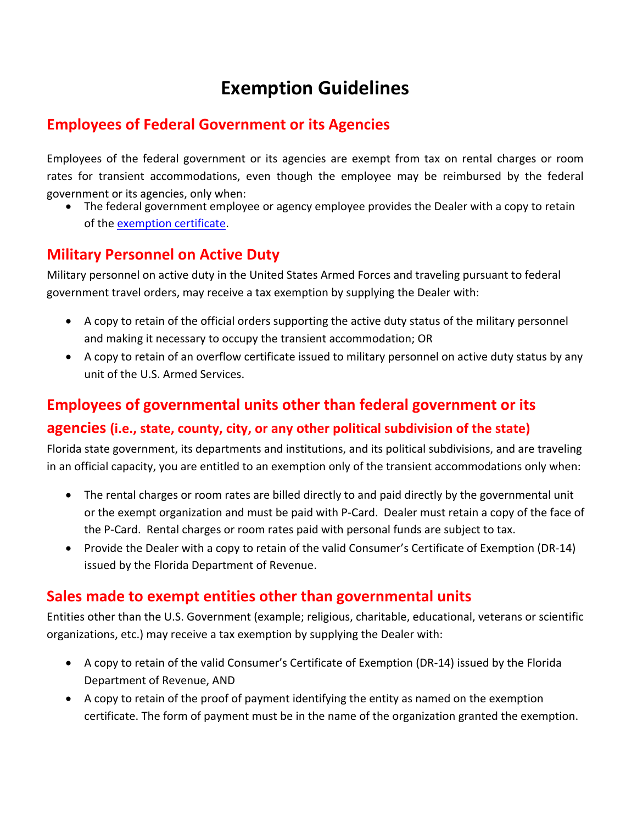# **Exemption Guidelines**

# **Employees of Federal Government or its Agencies**

Employees of the federal government or its agencies are exempt from tax on rental charges or room rates for transient accommodations, even though the employee may be reimbursed by the federal government or its agencies, only when:

 The federal government employee or agency employee provides the Dealer with a copy to retain of the exemption certificate.

## **Military Personnel on Active Duty**

Military personnel on active duty in the United States Armed Forces and traveling pursuant to federal government travel orders, may receive a tax exemption by supplying the Dealer with:

- A copy to retain of the official orders supporting the active duty status of the military personnel and making it necessary to occupy the transient accommodation; OR
- A copy to retain of an overflow certificate issued to military personnel on active duty status by any unit of the U.S. Armed Services.

# **Employees of governmental units other than federal government or its**

#### **agencies (i.e., state, county, city, or any other political subdivision of the state)**

Florida state government, its departments and institutions, and its political subdivisions, and are traveling in an official capacity, you are entitled to an exemption only of the transient accommodations only when:

- The rental charges or room rates are billed directly to and paid directly by the governmental unit or the exempt organization and must be paid with P‐Card. Dealer must retain a copy of the face of the P‐Card. Rental charges or room rates paid with personal funds are subject to tax.
- Provide the Dealer with a copy to retain of the valid Consumer's Certificate of Exemption (DR‐14) issued by the Florida Department of Revenue.

## **Sales made to exempt entities other than governmental units**

Entities other than the U.S. Government (example; religious, charitable, educational, veterans or scientific organizations, etc.) may receive a tax exemption by supplying the Dealer with:

- A copy to retain of the valid Consumer's Certificate of Exemption (DR‐14) issued by the Florida Department of Revenue, AND
- A copy to retain of the proof of payment identifying the entity as named on the exemption certificate. The form of payment must be in the name of the organization granted the exemption.